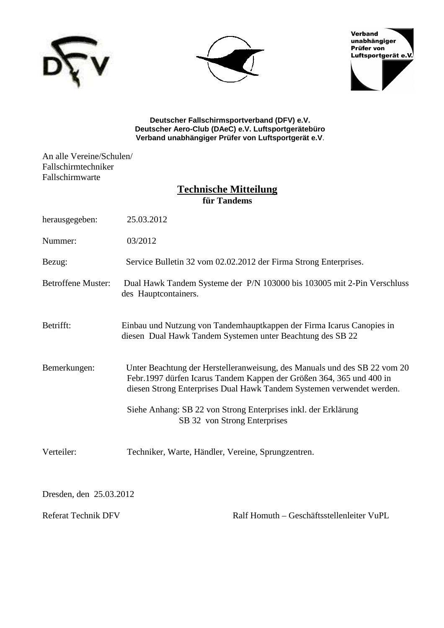





**Deutscher Fallschirmsportverband (DFV) e.V. Deutscher Aero-Club (DAeC) e.V. Luftsportgerätebüro Verband unabhängiger Prüfer von Luftsportgerät e.V**.

An alle Vereine/Schulen/ Fallschirmtechniker Fallschirmwarte

## **Technische Mitteilung für Tandems**

| herausgegeben:                     | 25.03.2012                                                                                                                                                                                                                                                                                                                   |
|------------------------------------|------------------------------------------------------------------------------------------------------------------------------------------------------------------------------------------------------------------------------------------------------------------------------------------------------------------------------|
| Nummer:                            | 03/2012                                                                                                                                                                                                                                                                                                                      |
| Bezug:                             | Service Bulletin 32 vom 02.02.2012 der Firma Strong Enterprises.                                                                                                                                                                                                                                                             |
| <b>Betroffene Muster:</b>          | Dual Hawk Tandem Systeme der P/N 103000 bis 103005 mit 2-Pin Verschluss<br>des Hauptcontainers.                                                                                                                                                                                                                              |
| Betrifft:                          | Einbau und Nutzung von Tandemhauptkappen der Firma Icarus Canopies in<br>diesen Dual Hawk Tandem Systemen unter Beachtung des SB 22                                                                                                                                                                                          |
| Bemerkungen:                       | Unter Beachtung der Herstelleranweisung, des Manuals und des SB 22 vom 20<br>Febr.1997 dürfen Icarus Tandem Kappen der Größen 364, 365 und 400 in<br>diesen Strong Enterprises Dual Hawk Tandem Systemen verwendet werden.<br>Siehe Anhang: SB 22 von Strong Enterprises inkl. der Erklärung<br>SB 32 von Strong Enterprises |
| Verteiler:                         | Techniker, Warte, Händler, Vereine, Sprungzentren.                                                                                                                                                                                                                                                                           |
| $\sim$ $\sim$ $\sim$ $\sim$ $\sim$ |                                                                                                                                                                                                                                                                                                                              |

Dresden, den 25.03.2012

Referat Technik DFV Ralf Homuth – Geschäftsstellenleiter VuPL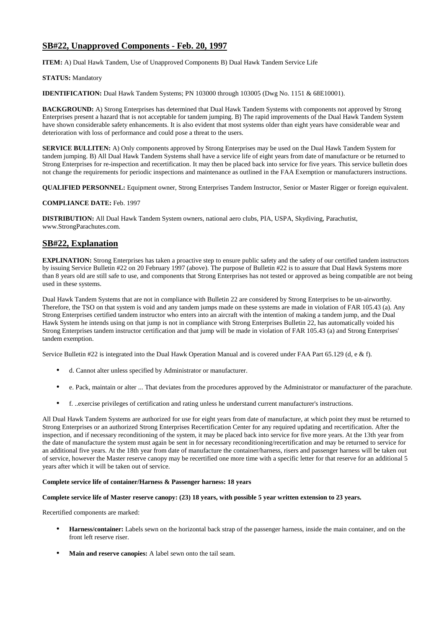## **SB#22, Unapproved Components - Feb. 20, 1997**

**ITEM:** A) Dual Hawk Tandem, Use of Unapproved Components B) Dual Hawk Tandem Service Life

#### **STATUS:** Mandatory

**IDENTIFICATION:** Dual Hawk Tandem Systems; PN 103000 through 103005 (Dwg No. 1151 & 68E10001).

**BACKGROUND:** A) Strong Enterprises has determined that Dual Hawk Tandem Systems with components not approved by Strong Enterprises present a hazard that is not acceptable for tandem jumping. B) The rapid improvements of the Dual Hawk Tandem System have shown considerable safety enhancements. It is also evident that most systems older than eight years have considerable wear and deterioration with loss of performance and could pose a threat to the users.

**SERVICE BULLITEN:** A) Only components approved by Strong Enterprises may be used on the Dual Hawk Tandem System for tandem jumping. B) All Dual Hawk Tandem Systems shall have a service life of eight years from date of manufacture or be returned to Strong Enterprises for re-inspection and recertification. It may then be placed back into service for five years. This service bulletin does not change the requirements for periodic inspections and maintenance as outlined in the FAA Exemption or manufacturers instructions.

**QUALIFIED PERSONNEL:** Equipment owner, Strong Enterprises Tandem Instructor, Senior or Master Rigger or foreign equivalent.

#### **COMPLIANCE DATE:** Feb. 1997

**DISTRIBUTION:** All Dual Hawk Tandem System owners, national aero clubs, PIA, USPA, Skydiving, Parachutist, www.StrongParachutes.com.

## **SB#22, Explanation**

**EXPLINATION:** Strong Enterprises has taken a proactive step to ensure public safety and the safety of our certified tandem instructors by issuing Service Bulletin #22 on 20 February 1997 (above). The purpose of Bulletin #22 is to assure that Dual Hawk Systems more than 8 years old are still safe to use, and components that Strong Enterprises has not tested or approved as being compatible are not being used in these systems.

Dual Hawk Tandem Systems that are not in compliance with Bulletin 22 are considered by Strong Enterprises to be un-airworthy. Therefore, the TSO on that system is void and any tandem jumps made on these systems are made in violation of FAR 105.43 (a). Any Strong Enterprises certified tandem instructor who enters into an aircraft with the intention of making a tandem jump, and the Dual Hawk System he intends using on that jump is not in compliance with Strong Enterprises Bulletin 22, has automatically voided his Strong Enterprises tandem instructor certification and that jump will be made in violation of FAR 105.43 (a) and Strong Enterprises' tandem exemption.

Service Bulletin #22 is integrated into the Dual Hawk Operation Manual and is covered under FAA Part 65.129 (d, e & f).

- d. Cannot alter unless specified by Administrator or manufacturer.
- e. Pack, maintain or alter ... That deviates from the procedures approved by the Administrator or manufacturer of the parachute.
- f. ..exercise privileges of certification and rating unless he understand current manufacturer's instructions.

All Dual Hawk Tandem Systems are authorized for use for eight years from date of manufacture, at which point they must be returned to Strong Enterprises or an authorized Strong Enterprises Recertification Center for any required updating and recertification. After the inspection, and if necessary reconditioning of the system, it may be placed back into service for five more years. At the 13th year from the date of manufacture the system must again be sent in for necessary reconditioning/recertification and may be returned to service for an additional five years. At the 18th year from date of manufacture the container/harness, risers and passenger harness will be taken out of service, however the Master reserve canopy may be recertified one more time with a specific letter for that reserve for an additional 5 years after which it will be taken out of service.

#### **Complete service life of container/Harness & Passenger harness: 18 years**

#### **Complete service life of Master reserve canopy: (23) 18 years, with possible 5 year written extension to 23 years.**

Recertified components are marked:

- **Harness/container:** Labels sewn on the horizontal back strap of the passenger harness, inside the main container, and on the front left reserve riser.
- **Main and reserve canopies:** A label sewn onto the tail seam.